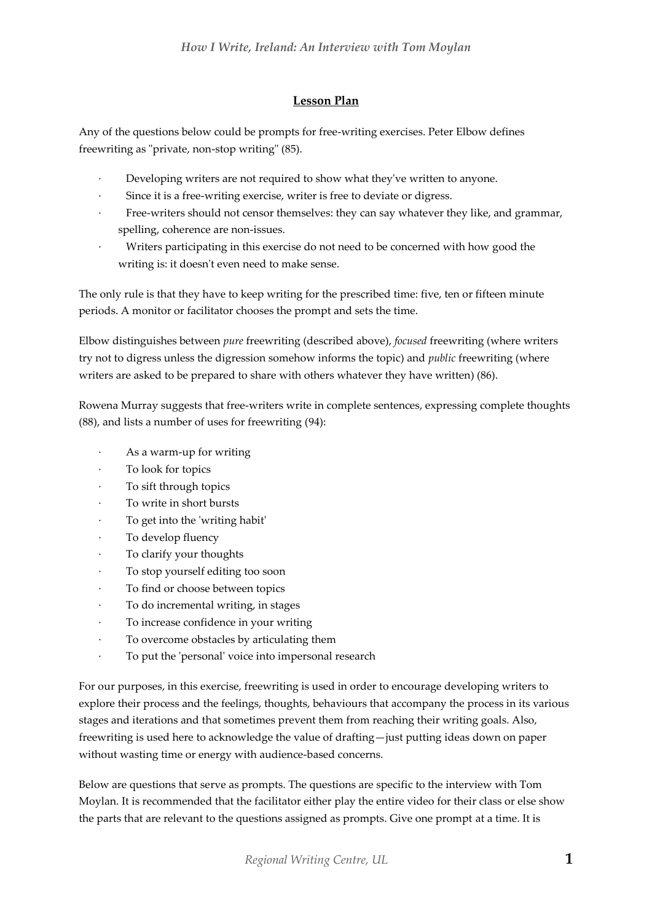## **Lesson Plan**

Any of the questions below could be prompts for free-writing exercises. Peter Elbow defines freewriting as "private, non-stop writing" (85).

- Developing writers are not required to show what they've written to anyone.
- Since it is a free-writing exercise, writer is free to deviate or digress.
- Free-writers should not censor themselves: they can say whatever they like, and grammar, spelling, coherence are non-issues.
- Writers participating in this exercise do not need to be concerned with how good the writing is: it doesn't even need to make sense.

The only rule is that they have to keep writing for the prescribed time: five, ten or fifteen minute periods. A monitor or facilitator chooses the prompt and sets the time.

Elbow distinguishes between *pure* freewriting (described above), *focused* freewriting (where writers try not to digress unless the digression somehow informs the topic) and *public* freewriting (where writers are asked to be prepared to share with others whatever they have written) (86).

Rowena Murray suggests that free-writers write in complete sentences, expressing complete thoughts (88), and lists a number of uses for freewriting (94):

- As a warm-up for writing
- To look for topics
- To sift through topics
- To write in short bursts
- To get into the 'writing habit'
- · To develop fluency
- To clarify your thoughts
- · To stop yourself editing too soon
- To find or choose between topics
- · To do incremental writing, in stages
- To increase confidence in your writing
- To overcome obstacles by articulating them
- To put the 'personal' voice into impersonal research

For our purposes, in this exercise, freewriting is used in order to encourage developing writers to explore their process and the feelings, thoughts, behaviours that accompany the process in its various stages and iterations and that sometimes prevent them from reaching their writing goals. Also, freewriting is used here to acknowledge the value of drafting—just putting ideas down on paper without wasting time or energy with audience-based concerns.

Below are questions that serve as prompts. The questions are specific to the interview with Tom Moylan. It is recommended that the facilitator either play the entire video for their class or else show the parts that are relevant to the questions assigned as prompts. Give one prompt at a time. It is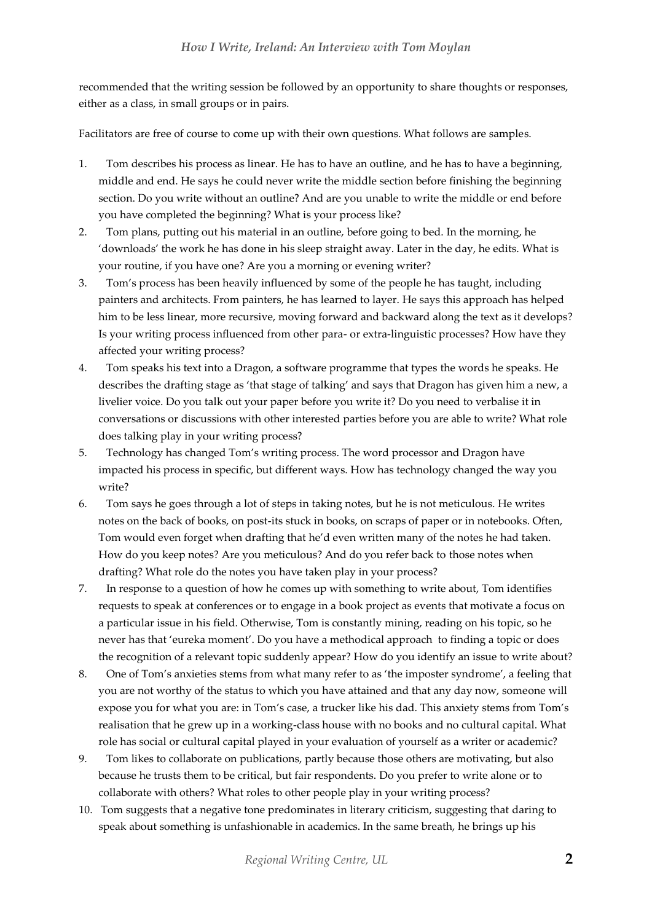recommended that the writing session be followed by an opportunity to share thoughts or responses, either as a class, in small groups or in pairs.

Facilitators are free of course to come up with their own questions. What follows are samples.

- 1. Tom describes his process as linear. He has to have an outline, and he has to have a beginning, middle and end. He says he could never write the middle section before finishing the beginning section. Do you write without an outline? And are you unable to write the middle or end before you have completed the beginning? What is your process like?
- 2. Tom plans, putting out his material in an outline, before going to bed. In the morning, he 'downloads' the work he has done in his sleep straight away. Later in the day, he edits. What is your routine, if you have one? Are you a morning or evening writer?
- 3. Tom's process has been heavily influenced by some of the people he has taught, including painters and architects. From painters, he has learned to layer. He says this approach has helped him to be less linear, more recursive, moving forward and backward along the text as it develops? Is your writing process influenced from other para- or extra-linguistic processes? How have they affected your writing process?
- 4. Tom speaks his text into a Dragon, a software programme that types the words he speaks. He describes the drafting stage as 'that stage of talking' and says that Dragon has given him a new, a livelier voice. Do you talk out your paper before you write it? Do you need to verbalise it in conversations or discussions with other interested parties before you are able to write? What role does talking play in your writing process?
- 5. Technology has changed Tom's writing process. The word processor and Dragon have impacted his process in specific, but different ways. How has technology changed the way you write?
- 6. Tom says he goes through a lot of steps in taking notes, but he is not meticulous. He writes notes on the back of books, on post-its stuck in books, on scraps of paper or in notebooks. Often, Tom would even forget when drafting that he'd even written many of the notes he had taken. How do you keep notes? Are you meticulous? And do you refer back to those notes when drafting? What role do the notes you have taken play in your process?
- 7. In response to a question of how he comes up with something to write about, Tom identifies requests to speak at conferences or to engage in a book project as events that motivate a focus on a particular issue in his field. Otherwise, Tom is constantly mining, reading on his topic, so he never has that 'eureka moment'. Do you have a methodical approach to finding a topic or does the recognition of a relevant topic suddenly appear? How do you identify an issue to write about?
- 8. One of Tom's anxieties stems from what many refer to as 'the imposter syndrome', a feeling that you are not worthy of the status to which you have attained and that any day now, someone will expose you for what you are: in Tom's case, a trucker like his dad. This anxiety stems from Tom's realisation that he grew up in a working-class house with no books and no cultural capital. What role has social or cultural capital played in your evaluation of yourself as a writer or academic?
- 9. Tom likes to collaborate on publications, partly because those others are motivating, but also because he trusts them to be critical, but fair respondents. Do you prefer to write alone or to collaborate with others? What roles to other people play in your writing process?
- 10. Tom suggests that a negative tone predominates in literary criticism, suggesting that daring to speak about something is unfashionable in academics. In the same breath, he brings up his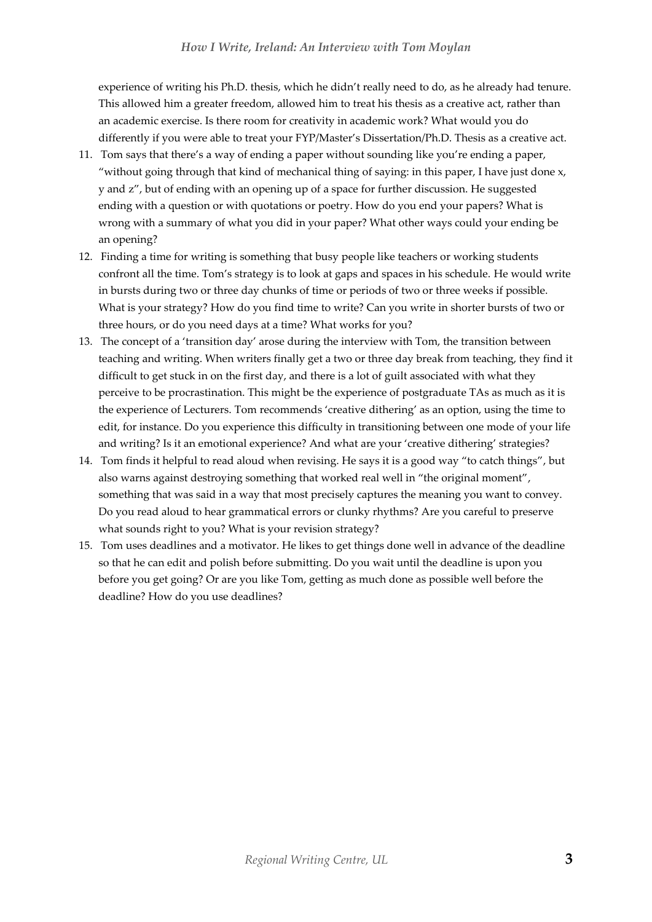experience of writing his Ph.D. thesis, which he didn't really need to do, as he already had tenure. This allowed him a greater freedom, allowed him to treat his thesis as a creative act, rather than an academic exercise. Is there room for creativity in academic work? What would you do differently if you were able to treat your FYP/Master's Dissertation/Ph.D. Thesis as a creative act.

- 11. Tom says that there's a way of ending a paper without sounding like you're ending a paper, "without going through that kind of mechanical thing of saying: in this paper, I have just done  $x$ , y and z", but of ending with an opening up of a space for further discussion. He suggested ending with a question or with quotations or poetry. How do you end your papers? What is wrong with a summary of what you did in your paper? What other ways could your ending be an opening?
- 12. Finding a time for writing is something that busy people like teachers or working students confront all the time. Tom's strategy is to look at gaps and spaces in his schedule. He would write in bursts during two or three day chunks of time or periods of two or three weeks if possible. What is your strategy? How do you find time to write? Can you write in shorter bursts of two or three hours, or do you need days at a time? What works for you?
- 13. The concept of a 'transition day' arose during the interview with Tom, the transition between teaching and writing. When writers finally get a two or three day break from teaching, they find it difficult to get stuck in on the first day, and there is a lot of guilt associated with what they perceive to be procrastination. This might be the experience of postgraduate TAs as much as it is the experience of Lecturers. Tom recommends 'creative dithering' as an option, using the time to edit, for instance. Do you experience this difficulty in transitioning between one mode of your life and writing? Is it an emotional experience? And what are your 'creative dithering' strategies?
- 14. Tom finds it helpful to read aloud when revising. He says it is a good way "to catch things", but also warns against destroying something that worked real well in "the original moment", something that was said in a way that most precisely captures the meaning you want to convey. Do you read aloud to hear grammatical errors or clunky rhythms? Are you careful to preserve what sounds right to you? What is your revision strategy?
- 15. Tom uses deadlines and a motivator. He likes to get things done well in advance of the deadline so that he can edit and polish before submitting. Do you wait until the deadline is upon you before you get going? Or are you like Tom, getting as much done as possible well before the deadline? How do you use deadlines?